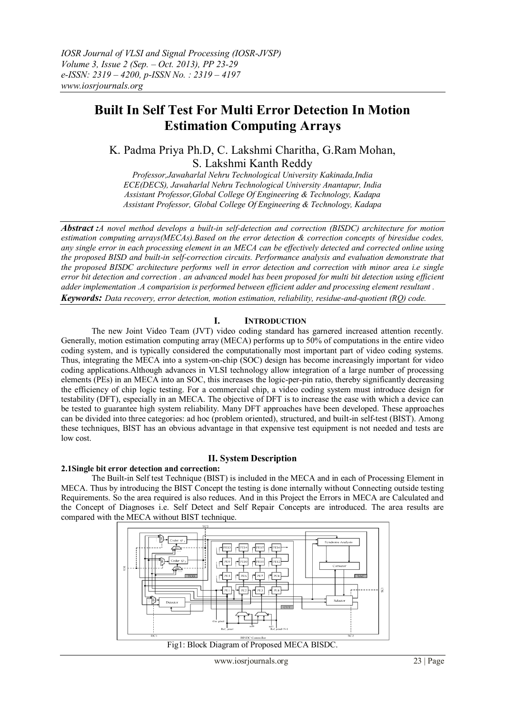# **Built In Self Test For Multi Error Detection In Motion Estimation Computing Arrays**

K. Padma Priya Ph.D, C. Lakshmi Charitha, G.Ram Mohan, S. Lakshmi Kanth Reddy

*Professor,Jawaharlal Nehru Technological University Kakinada,India ECE(DECS), Jawaharlal Nehru Technological University Anantapur, India Assistant Professor,Global College Of Engineering & Technology, Kadapa Assistant Professor, Global College Of Engineering & Technology, Kadapa*

*Abstract :A novel method develops a built-in self-detection and correction (BISDC) architecture for motion estimation computing arrays(MECAs).Based on the error detection & correction concepts of biresidue codes, any single error in each processing element in an MECA can be effectively detected and corrected online using the proposed BISD and built-in self-correction circuits. Performance analysis and evaluation demonstrate that the proposed BISDC architecture performs well in error detection and correction with minor area i.e single error bit detection and correction . an advanced model has been proposed for multi bit detection using efficient adder implementation .A comparision is performed between efficient adder and processing element resultant .* 

*Keywords: Data recovery, error detection, motion estimation, reliability, residue-and-quotient (RQ) code.*

## **I. INTRODUCTION**

The new Joint Video Team (JVT) video coding standard has garnered increased attention recently. Generally, motion estimation computing array (MECA) performs up to 50% of computations in the entire video coding system, and is typically considered the computationally most important part of video coding systems. Thus, integrating the MECA into a system-on-chip (SOC) design has become increasingly important for video coding applications.Although advances in VLSI technology allow integration of a large number of processing elements (PEs) in an MECA into an SOC, this increases the logic-per-pin ratio, thereby significantly decreasing the efficiency of chip logic testing. For a commercial chip, a video coding system must introduce design for testability (DFT), especially in an MECA. The objective of DFT is to increase the ease with which a device can be tested to guarantee high system reliability. Many DFT approaches have been developed. These approaches can be divided into three categories: ad hoc (problem oriented), structured, and built-in self-test (BIST). Among these techniques, BIST has an obvious advantage in that expensive test equipment is not needed and tests are low cost.

### **II. System Description**

#### **2.1Single bit error detection and correction:**

The Built-in Self test Technique (BIST) is included in the MECA and in each of Processing Element in MECA. Thus by introducing the BIST Concept the testing is done internally without Connecting outside testing Requirements. So the area required is also reduces. And in this Project the Errors in MECA are Calculated and the Concept of Diagnoses i.e. Self Detect and Self Repair Concepts are introduced. The area results are compared with the MECA without BIST technique.



Fig1: Block Diagram of Proposed MECA BISDC.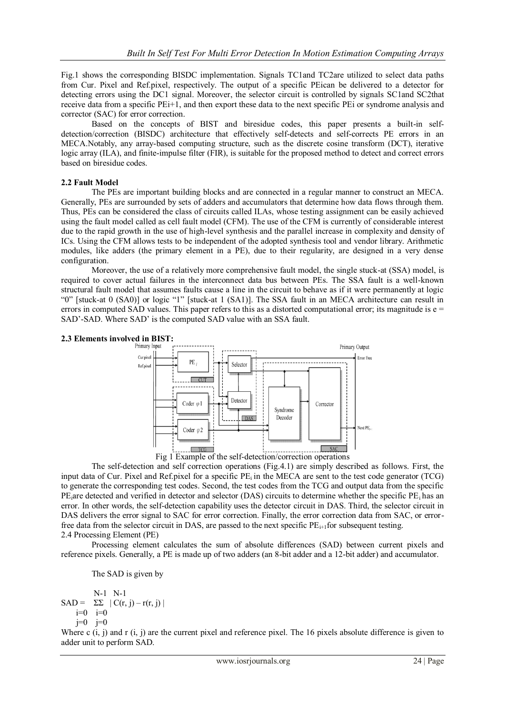Fig.1 shows the corresponding BISDC implementation. Signals TC1and TC2are utilized to select data paths from Cur. Pixel and Ref.pixel, respectively. The output of a specific PEican be delivered to a detector for detecting errors using the DC1 signal. Moreover, the selector circuit is controlled by signals SC1and SC2that receive data from a specific PEi+1, and then export these data to the next specific PEi or syndrome analysis and corrector (SAC) for error correction.

Based on the concepts of BIST and biresidue codes, this paper presents a built-in selfdetection/correction (BISDC) architecture that effectively self-detects and self-corrects PE errors in an MECA.Notably, any array-based computing structure, such as the discrete cosine transform (DCT), iterative logic array (ILA), and finite-impulse filter (FIR), is suitable for the proposed method to detect and correct errors based on biresidue codes.

### **2.2 Fault Model**

The PEs are important building blocks and are connected in a regular manner to construct an MECA. Generally, PEs are surrounded by sets of adders and accumulators that determine how data flows through them. Thus, PEs can be considered the class of circuits called ILAs, whose testing assignment can be easily achieved using the fault model called as cell fault model (CFM). The use of the CFM is currently of considerable interest due to the rapid growth in the use of high-level synthesis and the parallel increase in complexity and density of ICs. Using the CFM allows tests to be independent of the adopted synthesis tool and vendor library. Arithmetic modules, like adders (the primary element in a PE), due to their regularity, are designed in a very dense configuration.

Moreover, the use of a relatively more comprehensive fault model, the single stuck-at (SSA) model, is required to cover actual failures in the interconnect data bus between PEs. The SSA fault is a well-known structural fault model that assumes faults cause a line in the circuit to behave as if it were permanently at logic "0" [stuck-at 0 (SA0)] or logic "1" [stuck-at 1 (SA1)]. The SSA fault in an MECA architecture can result in errors in computed SAD values. This paper refers to this as a distorted computational error; its magnitude is  $e =$ SAD'-SAD. Where SAD' is the computed SAD value with an SSA fault.

## **2.3 Elements involved in BIST:**



The self-detection and self correction operations (Fig.4.1) are simply described as follows. First, the input data of Cur. Pixel and Ref.pixel for a specific  $PE_i$  in the MECA are sent to the test code generator (TCG) to generate the corresponding test codes. Second, the test codes from the TCG and output data from the specific PE<sub>i</sub>are detected and verified in detector and selector (DAS) circuits to determine whether the specific PE<sub>i</sub> has an error. In other words, the self-detection capability uses the detector circuit in DAS. Third, the selector circuit in DAS delivers the error signal to SAC for error correction. Finally, the error correction data from SAC, or errorfree data from the selector circuit in DAS, are passed to the next specific PE<sub>i+1</sub>for subsequent testing. 2.4 Processing Element (PE)

Processing element calculates the sum of absolute differences (SAD) between current pixels and reference pixels. Generally, a PE is made up of two adders (an 8-bit adder and a 12-bit adder) and accumulator.

The SAD is given by

N-1 N-1 SAD =  $\Sigma\Sigma$  | C(r, j) – r(r, j) |  $i=0$   $i=0$  $j=0$   $j=0$ 

Where c  $(i, j)$  and r  $(i, j)$  are the current pixel and reference pixel. The 16 pixels absolute difference is given to adder unit to perform SAD.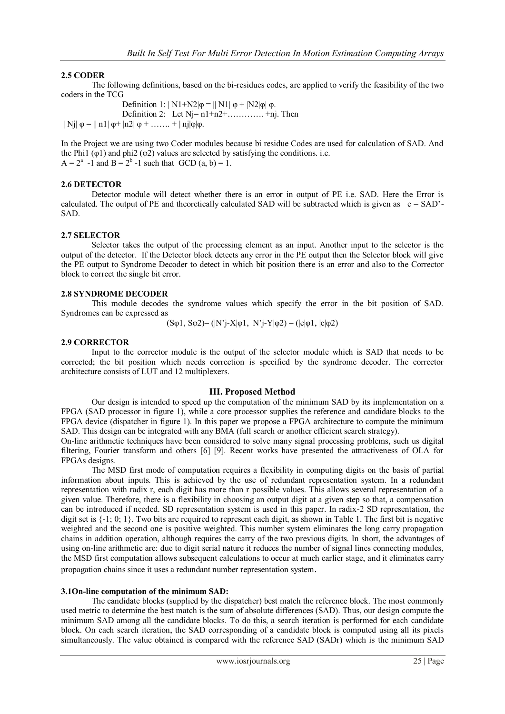## **2.5 CODER**

The following definitions, based on the bi-residues codes, are applied to verify the feasibility of the two coders in the TCG

Definition 1:  $|N1+N2|\phi = ||N1|\phi + |N2|\phi| \phi$ . Definition 2: Let  $Nj=n1+n2+$ ………….. +nj. Then | Nj|  $\varphi = || n1| \varphi + |n2| \varphi + \ldots + | nj| \varphi | \varphi$ .

In the Project we are using two Coder modules because bi residue Codes are used for calculation of SAD. And the Phi1 ( $\varphi$ 1) and phi2 ( $\varphi$ 2) values are selected by satisfying the conditions. i.e.  $A = 2^a - 1$  and  $B = 2^b - 1$  such that  $GCD(a, b) = 1$ .

#### **2.6 DETECTOR**

Detector module will detect whether there is an error in output of PE i.e. SAD. Here the Error is calculated. The output of PE and theoretically calculated SAD will be subtracted which is given as  $e = SAD'$ -SAD.

### **2.7 SELECTOR**

Selector takes the output of the processing element as an input. Another input to the selector is the output of the detector. If the Detector block detects any error in the PE output then the Selector block will give the PE output to Syndrome Decoder to detect in which bit position there is an error and also to the Corrector block to correct the single bit error.

#### **2.8 SYNDROME DECODER**

This module decodes the syndrome values which specify the error in the bit position of SAD. Syndromes can be expressed as

$$
(S\varphi 1, S\varphi 2)=(|N'j-X|\varphi 1, |N'j-Y|\varphi 2)=(|e|\varphi 1, |e|\varphi 2)
$$

#### **2.9 CORRECTOR**

Input to the corrector module is the output of the selector module which is SAD that needs to be corrected; the bit position which needs correction is specified by the syndrome decoder. The corrector architecture consists of LUT and 12 multiplexers.

#### **III. Proposed Method**

Our design is intended to speed up the computation of the minimum SAD by its implementation on a FPGA (SAD processor in figure 1), while a core processor supplies the reference and candidate blocks to the FPGA device (dispatcher in figure 1). In this paper we propose a FPGA architecture to compute the minimum SAD. This design can be integrated with any BMA (full search or another efficient search strategy).

On-line arithmetic techniques have been considered to solve many signal processing problems, such us digital filtering, Fourier transform and others [6] [9]. Recent works have presented the attractiveness of OLA for FPGAs designs.

The MSD first mode of computation requires a flexibility in computing digits on the basis of partial information about inputs. This is achieved by the use of redundant representation system. In a redundant representation with radix r, each digit has more than r possible values. This allows several representation of a given value. Therefore, there is a flexibility in choosing an output digit at a given step so that, a compensation can be introduced if needed. SD representation system is used in this paper. In radix-2 SD representation, the digit set is  $\{-1, 0, 1\}$ . Two bits are required to represent each digit, as shown in Table 1. The first bit is negative weighted and the second one is positive weighted. This number system eliminates the long carry propagation chains in addition operation, although requires the carry of the two previous digits. In short, the advantages of using on-line arithmetic are: due to digit serial nature it reduces the number of signal lines connecting modules, the MSD first computation allows subsequent calculations to occur at much earlier stage, and it eliminates carry propagation chains since it uses a redundant number representation system.

#### **3.1On-line computation of the minimum SAD:**

The candidate blocks (supplied by the dispatcher) best match the reference block. The most commonly used metric to determine the best match is the sum of absolute differences (SAD). Thus, our design compute the minimum SAD among all the candidate blocks. To do this, a search iteration is performed for each candidate block. On each search iteration, the SAD corresponding of a candidate block is computed using all its pixels simultaneously. The value obtained is compared with the reference SAD (SADr) which is the minimum SAD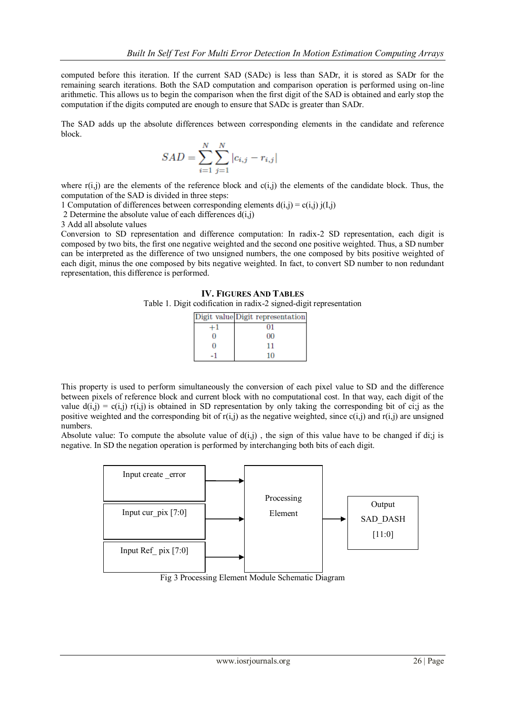computed before this iteration. If the current SAD (SADc) is less than SADr, it is stored as SADr for the remaining search iterations. Both the SAD computation and comparison operation is performed using on-line arithmetic. This allows us to begin the comparison when the first digit of the SAD is obtained and early stop the computation if the digits computed are enough to ensure that SADc is greater than SADr.

The SAD adds up the absolute differences between corresponding elements in the candidate and reference block.

$$
SAD = \sum_{i=1}^{N} \sum_{j=1}^{N} |c_{i,j} - r_{i,j}|
$$

where  $r(i,j)$  are the elements of the reference block and  $c(i,j)$  the elements of the candidate block. Thus, the computation of the SAD is divided in three steps:

1 Computation of differences between corresponding elements  $d(i,j) = c(i,j) i(I,j)$ 

2 Determine the absolute value of each differences  $d(i,j)$ 

3 Add all absolute values

Conversion to SD representation and difference computation: In radix-2 SD representation, each digit is composed by two bits, the first one negative weighted and the second one positive weighted. Thus, a SD number can be interpreted as the difference of two unsigned numbers, the one composed by bits positive weighted of each digit, minus the one composed by bits negative weighted. In fact, to convert SD number to non redundant representation, this difference is performed.

#### **IV. FIGURES AND TABLES**

Table 1. Digit codification in radix-2 signed-digit representation

| Digit value Digit representation |
|----------------------------------|
| 01                               |
| oo                               |
| 11                               |
| 10                               |

This property is used to perform simultaneously the conversion of each pixel value to SD and the difference between pixels of reference block and current block with no computational cost. In that way, each digit of the value  $d(i,j) = c(i,j)$  r(i,j) is obtained in SD representation by only taking the corresponding bit of ci;j as the positive weighted and the corresponding bit of  $r(i,j)$  as the negative weighted, since  $c(i,j)$  and  $r(i,j)$  are unsigned numbers.

Absolute value: To compute the absolute value of  $d(i,i)$ , the sign of this value have to be changed if di; is negative. In SD the negation operation is performed by interchanging both bits of each digit.



Fig 3 Processing Element Module Schematic Diagram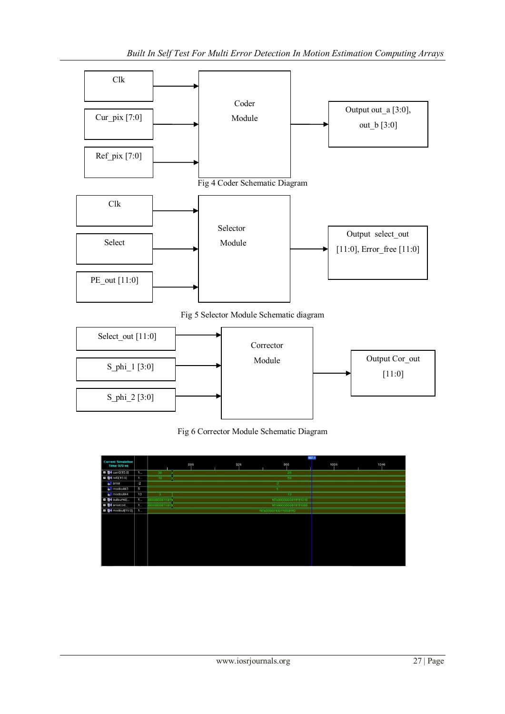



Fig 6 Corrector Module Schematic Diagram

|                                                  |      |                         | 987.1 |     |                      |      |      |  |  |
|--------------------------------------------------|------|-------------------------|-------|-----|----------------------|------|------|--|--|
| <b>Current Simulation</b><br><b>Time: 970 ns</b> |      |                         | 886   | 926 | 966                  | 1006 | 1046 |  |  |
| <b>El 64</b> curr0[15:0]                         | 1    | 30                      |       |     | 20                   |      |      |  |  |
| <b>EI M</b> ref0[15:0]                           | 1    | 10 <sup>°</sup>         |       |     |                      |      |      |  |  |
| oll error                                        | $-2$ |                         |       |     | $-2$                 |      |      |  |  |
| modout43                                         | 5    |                         |       |     |                      |      |      |  |  |
| o modout44                                       | 13   | $\overline{\mathbf{3}}$ |       |     | 13                   |      |      |  |  |
| <b>El &amp;4</b> outsum6[                        | 1    | 000000001101            |       |     |                      |      |      |  |  |
| <b>D S</b> <sup>4</sup> errorcod                 | 1    | 000000001101            |       |     | 16'b0000000011111000 |      |      |  |  |
| <b>El M</b> modout[15:0]                         | 1    |                         |       |     | 16'b0000010011000110 |      |      |  |  |
|                                                  |      |                         |       |     |                      |      |      |  |  |
|                                                  |      |                         |       |     |                      |      |      |  |  |
|                                                  |      |                         |       |     |                      |      |      |  |  |
|                                                  |      |                         |       |     |                      |      |      |  |  |
|                                                  |      |                         |       |     |                      |      |      |  |  |
|                                                  |      |                         |       |     |                      |      |      |  |  |
|                                                  |      |                         |       |     |                      |      |      |  |  |
|                                                  |      |                         |       |     |                      |      |      |  |  |
|                                                  |      |                         |       |     |                      |      |      |  |  |
|                                                  |      |                         |       |     |                      |      |      |  |  |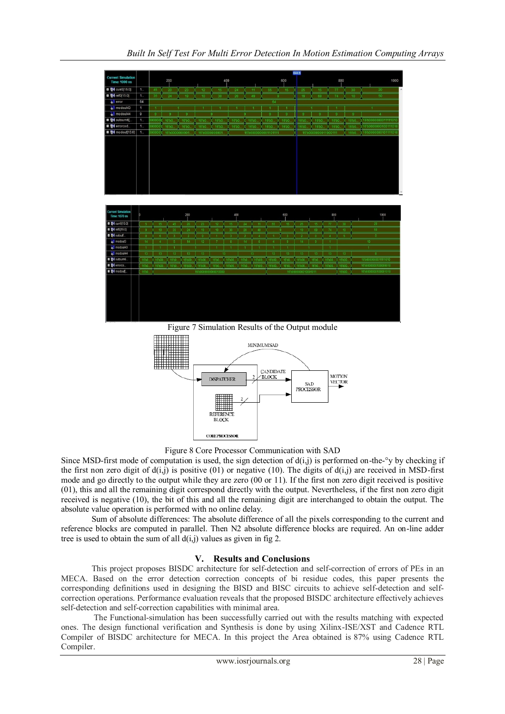

Figure 7 Simulation Results of the Output module



Figure 8 Core Processor Communication with SAD

Since MSD-first mode of computation is used, the sign detection of  $d(i,j)$  is performed on-the-<sup>o</sup>y by checking if the first non zero digit of  $d(i,j)$  is positive (01) or negative (10). The digits of  $d(i,j)$  are received in MSD-first mode and go directly to the output while they are zero (00 or 11). If the first non zero digit received is positive (01), this and all the remaining digit correspond directly with the output. Nevertheless, if the first non zero digit received is negative (10), the bit of this and all the remaining digit are interchanged to obtain the output. The absolute value operation is performed with no online delay.

Sum of absolute differences: The absolute difference of all the pixels corresponding to the current and reference blocks are computed in parallel. Then N2 absolute difference blocks are required. An on-line adder tree is used to obtain the sum of all  $d(i,j)$  values as given in fig 2.

## **V. Results and Conclusions**

This project proposes BISDC architecture for self-detection and self-correction of errors of PEs in an MECA. Based on the error detection correction concepts of bi residue codes, this paper presents the corresponding definitions used in designing the BISD and BISC circuits to achieve self-detection and selfcorrection operations. Performance evaluation reveals that the proposed BISDC architecture effectively achieves self-detection and self-correction capabilities with minimal area.

The Functional-simulation has been successfully carried out with the results matching with expected ones. The design functional verification and Synthesis is done by using Xilinx-ISE/XST and Cadence RTL Compiler of BISDC architecture for MECA. In this project the Area obtained is 87% using Cadence RTL Compiler.